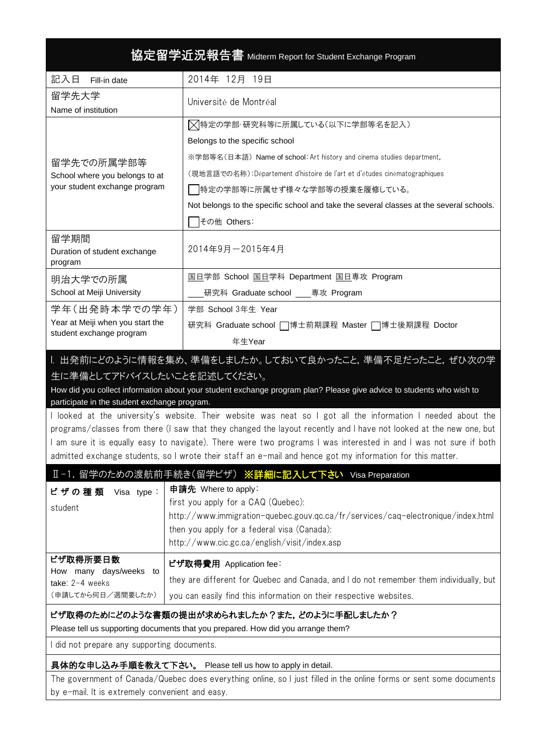| 協定留学近況報告書 Midterm Report for Student Exchange Program                                                                                                                                                                                                                                                                                                                                                                                                                                                                                                                                                                  |                                                                                                                                                                                                                                                                                                       |  |  |  |
|------------------------------------------------------------------------------------------------------------------------------------------------------------------------------------------------------------------------------------------------------------------------------------------------------------------------------------------------------------------------------------------------------------------------------------------------------------------------------------------------------------------------------------------------------------------------------------------------------------------------|-------------------------------------------------------------------------------------------------------------------------------------------------------------------------------------------------------------------------------------------------------------------------------------------------------|--|--|--|
| 記入日<br>Fill-in date                                                                                                                                                                                                                                                                                                                                                                                                                                                                                                                                                                                                    | 2014年 12月 19日                                                                                                                                                                                                                                                                                         |  |  |  |
| 留学先大学<br>Name of institution                                                                                                                                                                                                                                                                                                                                                                                                                                                                                                                                                                                           | Université de Montréal                                                                                                                                                                                                                                                                                |  |  |  |
|                                                                                                                                                                                                                                                                                                                                                                                                                                                                                                                                                                                                                        | │╳│特定の学部・研究科等に所属している(以下に学部等名を記入)<br>Belongs to the specific school                                                                                                                                                                                                                                    |  |  |  |
| 留学先での所属学部等<br>School where you belongs to at<br>your student exchange program                                                                                                                                                                                                                                                                                                                                                                                                                                                                                                                                          | ※学部等名(日本語) Name of school: Art history and cinema studies department,<br>(現地言語での名称):Département d'histoire de l'art et d'études cinématographiques<br> 特定の学部等に所属せず様々な学部等の授業を履修している。<br>Not belongs to the specific school and take the several classes at the several schools.                        |  |  |  |
|                                                                                                                                                                                                                                                                                                                                                                                                                                                                                                                                                                                                                        | その他 Others:                                                                                                                                                                                                                                                                                           |  |  |  |
| 留学期間<br>Duration of student exchange<br>program                                                                                                                                                                                                                                                                                                                                                                                                                                                                                                                                                                        | 2014年9月-2015年4月                                                                                                                                                                                                                                                                                       |  |  |  |
| 明治大学での所属<br>School at Meiji University                                                                                                                                                                                                                                                                                                                                                                                                                                                                                                                                                                                 | 国日学部 School 国日学科 Department 国日専攻 Program<br>研究科 Graduate school 専攻 Program                                                                                                                                                                                                                            |  |  |  |
| 学年(出発時本学での学年)                                                                                                                                                                                                                                                                                                                                                                                                                                                                                                                                                                                                          | 学部 School 3年生 Year                                                                                                                                                                                                                                                                                    |  |  |  |
| Year at Meiji when you start the<br>student exchange program                                                                                                                                                                                                                                                                                                                                                                                                                                                                                                                                                           | 研究科 Graduate school □博士前期課程 Master □博士後期課程 Doctor<br>年生Year                                                                                                                                                                                                                                           |  |  |  |
| 1. 出発前にどのように情報を集め、準備をしましたか。しておいて良かったこと、準備不足だったこと、ぜひ次の学<br>生に準備としてアドバイスしたいことを記述してください。<br>How did you collect information about your student exchange program plan? Please give advice to students who wish to<br>participate in the student exchange program.<br>I looked at the university's website. Their website was neat so I got all the information I needed about the<br>programs/classes from there (I saw that they changed the layout recently and I have not looked at the new one, but<br>am sure it is equally easy to navigate). There were two programs I was interested in and I was not sure if both |                                                                                                                                                                                                                                                                                                       |  |  |  |
|                                                                                                                                                                                                                                                                                                                                                                                                                                                                                                                                                                                                                        | admitted exchange students, so I wrote their staff an e-mail and hence got my information for this matter.                                                                                                                                                                                            |  |  |  |
| ビザの種類<br>Visa type:<br>student                                                                                                                                                                                                                                                                                                                                                                                                                                                                                                                                                                                         | I-1. 留学のための渡航前手続き(留学ビザ) ※詳細に記入して下さい Visa Preparation<br>申請先 Where to apply:<br>first you apply for a CAQ (Quebec):<br>http://www.immigration-quebec.gouv.qc.ca/fr/services/caq-electronique/index.html<br>then you apply for a federal visa (Canada):<br>http://www.cic.gc.ca/english/visit/index.asp |  |  |  |
| ビザ取得所要日数<br>How many days/weeks to<br>take: 2-4 weeks<br>(申請してから何日/週間要したか)                                                                                                                                                                                                                                                                                                                                                                                                                                                                                                                                             | ビザ取得費用 Application fee:<br>they are different for Quebec and Canada, and I do not remember them individually, but<br>you can easily find this information on their respective websites.                                                                                                               |  |  |  |
| ビザ取得のためにどのような書類の提出が求められましたか?また,どのように手配しましたか?<br>Please tell us supporting documents that you prepared. How did you arrange them?                                                                                                                                                                                                                                                                                                                                                                                                                                                                                       |                                                                                                                                                                                                                                                                                                       |  |  |  |
| I did not prepare any supporting documents.                                                                                                                                                                                                                                                                                                                                                                                                                                                                                                                                                                            |                                                                                                                                                                                                                                                                                                       |  |  |  |
|                                                                                                                                                                                                                                                                                                                                                                                                                                                                                                                                                                                                                        | 具体的な申し込み手順を教えて下さい。 Please tell us how to apply in detail.<br>The government of Canada/Quebec does everything online, so I just filled in the online forms or sent some documents                                                                                                                      |  |  |  |

by e-mail. It is extremely convenient and easy.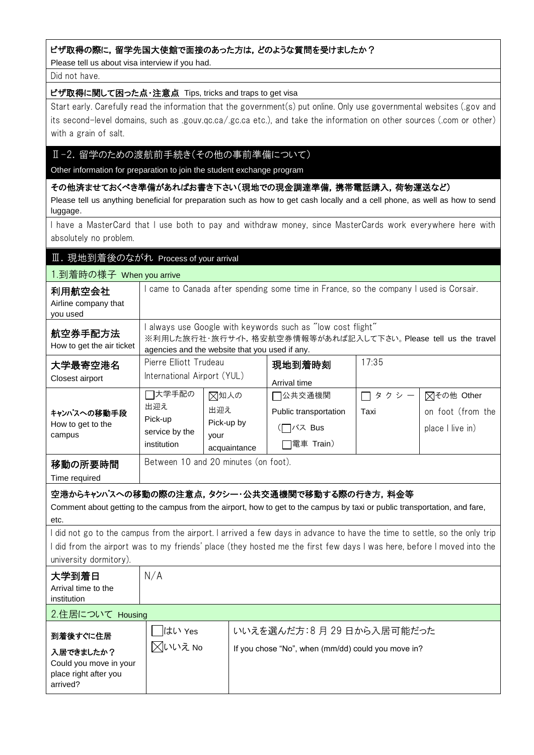### ビザ取得の際に,留学先国大使館で面接のあった方は,どのような質問を受けましたか?

Please tell us about visa interview if you had.

#### Did not have.

## ビザ取得に関して困った点・注意点 Tips, tricks and traps to get visa

Start early. Carefully read the information that the government(s) put online. Only use governmental websites (.gov and its second-level domains, such as .gouv.qc.ca/.gc.ca etc.), and take the information on other sources (.com or other) with a grain of salt.

# Ⅱ-2. 留学のための渡航前手続き(その他の事前準備について)

Other information for preparation to join the student exchange program

その他済ませておくべき準備があればお書き下さい(現地での現金調達準備,携帯電話購入,荷物運送など) Please tell us anything beneficial for preparation such as how to get cash locally and a cell phone, as well as how to send luggage.

I have a MasterCard that I use both to pay and withdraw money, since MasterCards work everywhere here with absolutely no problem.

## Ⅲ.現地到着後のながれ Process of your arrival

| 1.到着時の様子 When you arrive                                                                                                                                                                                                                                                      |                                                                                                                                                                             |                                                   |                                                         |                   |                                                     |  |
|-------------------------------------------------------------------------------------------------------------------------------------------------------------------------------------------------------------------------------------------------------------------------------|-----------------------------------------------------------------------------------------------------------------------------------------------------------------------------|---------------------------------------------------|---------------------------------------------------------|-------------------|-----------------------------------------------------|--|
| 利用航空会社<br>Airline company that<br>you used                                                                                                                                                                                                                                    | I came to Canada after spending some time in France, so the company I used is Corsair.                                                                                      |                                                   |                                                         |                   |                                                     |  |
| 航空券手配方法<br>How to get the air ticket                                                                                                                                                                                                                                          | always use Google with keywords such as "low cost flight"<br>※利用した旅行社・旅行サイト,格安航空券情報等があれば記入して下さい。Please tell us the travel<br>agencies and the website that you used if any. |                                                   |                                                         |                   |                                                     |  |
| 大学最寄空港名<br>Closest airport                                                                                                                                                                                                                                                    | Pierre Elliott Trudeau<br>International Airport (YUL)                                                                                                                       |                                                   | 現地到着時刻<br>Arrival time                                  | 17:35             |                                                     |  |
| キャンパスへの移動手段<br>How to get to the<br>campus                                                                                                                                                                                                                                    | □大学手配の<br>出迎え<br>Pick-up<br>service by the<br>institution                                                                                                                   | ⊠知人の<br>出迎え<br>Pick-up by<br>your<br>acquaintance | □公共交通機関<br>Public transportation<br>バス Bus<br>電車 Train) | タクシー<br>П<br>Taxi | ○その他 Other<br>on foot (from the<br>place I live in) |  |
| 移動の所要時間<br>Time required                                                                                                                                                                                                                                                      | Between 10 and 20 minutes (on foot).                                                                                                                                        |                                                   |                                                         |                   |                                                     |  |
| 空港からキャンパスへの移動の際の注意点,タクシー・公共交通機関で移動する際の行き方,料金等<br>Comment about getting to the campus from the airport, how to get to the campus by taxi or public transportation, and fare,<br>etc.                                                                                           |                                                                                                                                                                             |                                                   |                                                         |                   |                                                     |  |
| I did not go to the campus from the airport. I arrived a few days in advance to have the time to settle, so the only trip<br>l did from the airport was to my friends' place (they hosted me the first few days I was here, before I moved into the<br>university dormitory). |                                                                                                                                                                             |                                                   |                                                         |                   |                                                     |  |
| 大学到着日<br>Arrival time to the<br>institution                                                                                                                                                                                                                                   | N/A                                                                                                                                                                         |                                                   |                                                         |                   |                                                     |  |
| 2.住居について Housing                                                                                                                                                                                                                                                              |                                                                                                                                                                             |                                                   |                                                         |                   |                                                     |  |
| 到着後すぐに住居                                                                                                                                                                                                                                                                      | はい Yes                                                                                                                                                                      |                                                   | いいえを選んだ方:8月29日から入居可能だった                                 |                   |                                                     |  |

| 到着後すぐに住居               | $1000 \div 100$ | Ⅴ ∿ ∿ ⁄ㄴ ㄴ 2± / Ⅴ / _ / 」 - ㅇ 丿」 ∠ ㅇ ㅡ 니 / ・ つ ノ ヽ /ㅡ ㅡ」 HE / ㅡ ノ / ㅡ |
|------------------------|-----------------|-----------------------------------------------------------------------|
| 入居できましたか?              | 风いいえ No         | If you chose "No", when (mm/dd) could you move in?                    |
| Could you move in your |                 |                                                                       |
| place right after you  |                 |                                                                       |
| arrived?               |                 |                                                                       |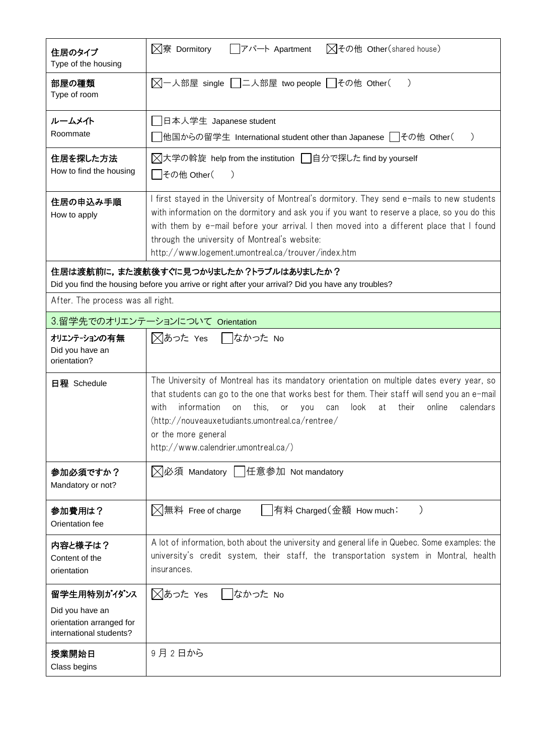| 住居のタイプ<br>Type of the housing                                                                                                               | ⊠その他 Other(shared house)<br>$\boxtimes$ 寮 Dormitory<br>アパート Apartment                                                                                                                                                                                                                                                                                                                                                |  |  |  |  |
|---------------------------------------------------------------------------------------------------------------------------------------------|----------------------------------------------------------------------------------------------------------------------------------------------------------------------------------------------------------------------------------------------------------------------------------------------------------------------------------------------------------------------------------------------------------------------|--|--|--|--|
| 部屋の種類<br>Type of room                                                                                                                       | $\mathcal{E}$                                                                                                                                                                                                                                                                                                                                                                                                        |  |  |  |  |
| ルームメイト<br>Roommate                                                                                                                          | 」日本人学生 Japanese student<br> 他国からの留学生 International student other than Japanese   │その他 Other( ˈ<br>$\lambda$                                                                                                                                                                                                                                                                                                          |  |  |  |  |
| 住居を探した方法<br>How to find the housing                                                                                                         | 对大学の斡旋 help from the institution   日分で探した find by yourself<br>│その他 Other(<br>$\left( \right)$                                                                                                                                                                                                                                                                                                                        |  |  |  |  |
| 住居の申込み手順<br>How to apply                                                                                                                    | I first stayed in the University of Montreal's dormitory. They send e-mails to new students<br>with information on the dormitory and ask you if you want to reserve a place, so you do this<br>with them by e-mail before your arrival. I then moved into a different place that I found<br>through the university of Montreal's website:<br>http://www.logement.umontreal.ca/trouver/index.htm                      |  |  |  |  |
| 住居は渡航前に,また渡航後すぐに見つかりましたか?トラブルはありましたか?<br>Did you find the housing before you arrive or right after your arrival? Did you have any troubles? |                                                                                                                                                                                                                                                                                                                                                                                                                      |  |  |  |  |
| After. The process was all right.                                                                                                           |                                                                                                                                                                                                                                                                                                                                                                                                                      |  |  |  |  |
|                                                                                                                                             | 3.留学先でのオリエンテーションについて Orientation                                                                                                                                                                                                                                                                                                                                                                                     |  |  |  |  |
| オリエンテーションの有無<br>Did you have an<br>orientation?                                                                                             | ⊠あった Yes ■なかった No                                                                                                                                                                                                                                                                                                                                                                                                    |  |  |  |  |
| 日程 Schedule                                                                                                                                 | The University of Montreal has its mandatory orientation on multiple dates every year, so<br>that students can go to the one that works best for them. Their staff will send you an e-mail<br>information<br>with<br>this,<br>look<br>their<br>online<br>calendars<br>on<br>or<br>at<br>you<br>can<br>(http://nouveauxetudiants.umontreal.ca/rentree/<br>or the more general<br>http://www.calendrier.umontreal.ca/) |  |  |  |  |
| 参加必須ですか?<br>Mandatory or not?                                                                                                               | ◯必須 Mandatory   任意参加 Not mandatory                                                                                                                                                                                                                                                                                                                                                                                   |  |  |  |  |
| 参加費用は?<br>Orientation fee                                                                                                                   | ⟩<br>$\boxtimes$ 無料 Free of charge<br> 有料 Charged (金額 How much:                                                                                                                                                                                                                                                                                                                                                      |  |  |  |  |
| 内容と様子は?<br>Content of the<br>orientation                                                                                                    | A lot of information, both about the university and general life in Quebec. Some examples: the<br>university's credit system, their staff, the transportation system in Montral, health<br>insurances.                                                                                                                                                                                                               |  |  |  |  |
| 留学生用特別がイダンス<br>Did you have an<br>orientation arranged for<br>international students?                                                       | ◯あった Yes<br>  なかった No                                                                                                                                                                                                                                                                                                                                                                                                |  |  |  |  |
| 授業開始日<br>Class begins                                                                                                                       | 9月2日から                                                                                                                                                                                                                                                                                                                                                                                                               |  |  |  |  |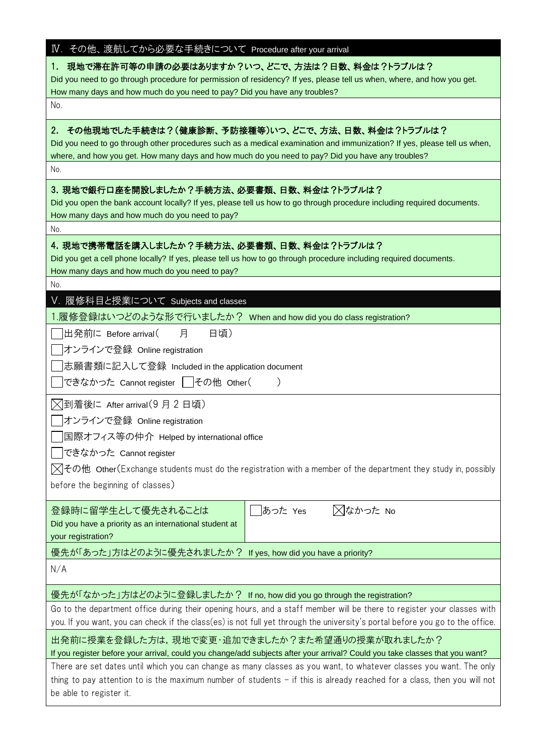| IV. その他、渡航してから必要な手続きについて Procedure after your arrival                                                                                                                                                                                                                                                                                                                                                                                                                                                                                                                                                                                       |
|---------------------------------------------------------------------------------------------------------------------------------------------------------------------------------------------------------------------------------------------------------------------------------------------------------------------------------------------------------------------------------------------------------------------------------------------------------------------------------------------------------------------------------------------------------------------------------------------------------------------------------------------|
| 現地で滞在許可等の申請の必要はありますか?いつ、どこで、方法は?日数、料金は?トラブルは?<br>1.<br>Did you need to go through procedure for permission of residency? If yes, please tell us when, where, and how you get.<br>How many days and how much do you need to pay? Did you have any troubles?                                                                                                                                                                                                                                                                                                                                                                                  |
| No.                                                                                                                                                                                                                                                                                                                                                                                                                                                                                                                                                                                                                                         |
| その他現地でした手続きは?(健康診断、予防接種等)いつ、どこで、方法、日数、料金は?トラブルは?<br>2.<br>Did you need to go through other procedures such as a medical examination and immunization? If yes, please tell us when,<br>where, and how you get. How many days and how much do you need to pay? Did you have any troubles?<br>No.                                                                                                                                                                                                                                                                                                                                              |
| 3. 現地で銀行口座を開設しましたか?手続方法、必要書類、日数、料金は?トラブルは?<br>Did you open the bank account locally? If yes, please tell us how to go through procedure including required documents.<br>How many days and how much do you need to pay?<br>No.                                                                                                                                                                                                                                                                                                                                                                                                              |
| 4. 現地で携帯電話を購入しましたか?手続方法、必要書類、日数、料金は?トラブルは?<br>Did you get a cell phone locally? If yes, please tell us how to go through procedure including required documents.<br>How many days and how much do you need to pay?                                                                                                                                                                                                                                                                                                                                                                                                                          |
| No.                                                                                                                                                                                                                                                                                                                                                                                                                                                                                                                                                                                                                                         |
| V. 履修科目と授業について Subjects and classes<br>1.履修登録はいつどのような形で行いましたか? When and how did you do class registration?                                                                                                                                                                                                                                                                                                                                                                                                                                                                                                                                  |
| 出発前に Before arrival (<br>月<br>日頃)<br>オンラインで登録 Online registration<br> 志願書類に記入して登録 Included in the application document<br>できなかった Cannot register   その他 Other(                                                                                                                                                                                                                                                                                                                                                                                                                                                                               |
| ▽到着後に After arrival(9 月 2 日頃)<br>オンラインで登録 Online registration<br> 国際オフィス等の仲介 Helped by international office<br>できなかった Cannot register<br>$\boxtimes$ その他 Other(Exchange students must do the registration with a member of the department they study in, possibly<br>before the beginning of classes)                                                                                                                                                                                                                                                                                                                                       |
| あった Yes<br>⊠なかった No<br>登録時に留学生として優先されることは<br>Did you have a priority as an international student at<br>your registration?                                                                                                                                                                                                                                                                                                                                                                                                                                                                                                                   |
| 優先が「あった」方はどのように優先されましたか? If yes, how did you have a priority?                                                                                                                                                                                                                                                                                                                                                                                                                                                                                                                                                                               |
| N/A                                                                                                                                                                                                                                                                                                                                                                                                                                                                                                                                                                                                                                         |
| 優先が「なかった」方はどのように登録しましたか? If no, how did you go through the registration?<br>Go to the department office during their opening hours, and a staff member will be there to register your classes with<br>you. If you want, you can check if the class(es) is not full yet through the university's portal before you go to the office.<br>出発前に授業を登録した方は,現地で変更・追加できましたか?また希望通りの授業が取れましたか?<br>If you register before your arrival, could you change/add subjects after your arrival? Could you take classes that you want?<br>There are set dates until which you can change as many classes as you want, to whatever classes you want. The only |
| thing to pay attention to is the maximum number of students - if this is already reached for a class, then you will not<br>be able to register it.                                                                                                                                                                                                                                                                                                                                                                                                                                                                                          |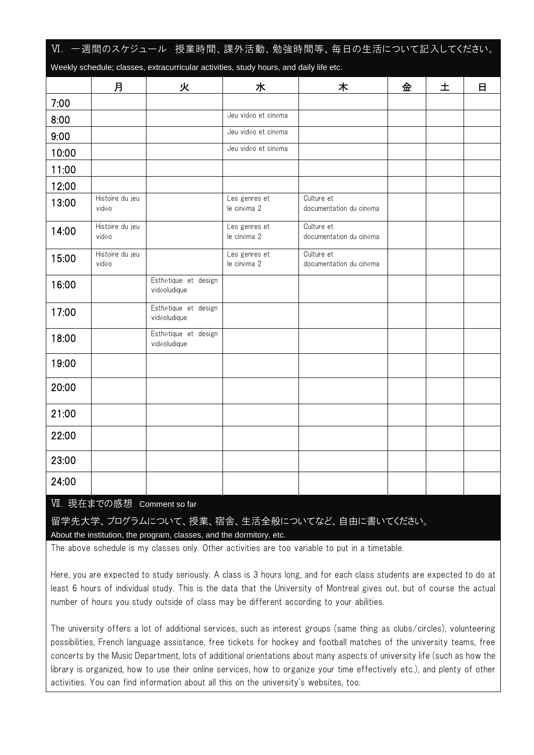| Ⅵ. 一週間のスケジュール 授業時間、課外活動、勉強時間等、毎日の生活について記入してください。                                                                                                                                                                                                               |                          |                                                                                        |                              |                                       |   |   |   |
|----------------------------------------------------------------------------------------------------------------------------------------------------------------------------------------------------------------------------------------------------------------|--------------------------|----------------------------------------------------------------------------------------|------------------------------|---------------------------------------|---|---|---|
|                                                                                                                                                                                                                                                                |                          | Weekly schedule; classes, extracurricular activities, study hours, and daily life etc. |                              |                                       |   |   |   |
|                                                                                                                                                                                                                                                                | 月                        | 火                                                                                      | 水                            | 木                                     | 金 | 土 | 日 |
| 7:00                                                                                                                                                                                                                                                           |                          |                                                                                        |                              |                                       |   |   |   |
| 8:00                                                                                                                                                                                                                                                           |                          |                                                                                        | Jeu vidéo et cinéma          |                                       |   |   |   |
| 9:00                                                                                                                                                                                                                                                           |                          |                                                                                        | Jeu vidéo et cinéma          |                                       |   |   |   |
| 10:00                                                                                                                                                                                                                                                          |                          |                                                                                        | Jeu vidéo et cinéma          |                                       |   |   |   |
| 11:00                                                                                                                                                                                                                                                          |                          |                                                                                        |                              |                                       |   |   |   |
| 12:00                                                                                                                                                                                                                                                          |                          |                                                                                        |                              |                                       |   |   |   |
| 13:00                                                                                                                                                                                                                                                          | Histoire du jeu<br>vidéo |                                                                                        | Les genres et<br>le cinéma 2 | Culture et<br>documentation du cinéma |   |   |   |
| 14:00                                                                                                                                                                                                                                                          | Histoire du jeu<br>vidéo |                                                                                        | Les genres et<br>le cinéma 2 | Culture et<br>documentation du cinéma |   |   |   |
| 15:00                                                                                                                                                                                                                                                          | Histoire du jeu<br>vidéo |                                                                                        | Les genres et<br>le cinéma 2 | Culture et<br>documentation du cinéma |   |   |   |
| 16:00                                                                                                                                                                                                                                                          |                          | Esthétique et design<br>vidéoludique                                                   |                              |                                       |   |   |   |
| 17:00                                                                                                                                                                                                                                                          |                          | Esthétique et design<br>vidéoludique                                                   |                              |                                       |   |   |   |
| 18:00                                                                                                                                                                                                                                                          |                          | Esthétique et design<br>vidéoludique                                                   |                              |                                       |   |   |   |
| 19:00                                                                                                                                                                                                                                                          |                          |                                                                                        |                              |                                       |   |   |   |
| 20:00                                                                                                                                                                                                                                                          |                          |                                                                                        |                              |                                       |   |   |   |
| 21:00                                                                                                                                                                                                                                                          |                          |                                                                                        |                              |                                       |   |   |   |
| 22:00                                                                                                                                                                                                                                                          |                          |                                                                                        |                              |                                       |   |   |   |
| 23:00                                                                                                                                                                                                                                                          |                          |                                                                                        |                              |                                       |   |   |   |
| 24:00                                                                                                                                                                                                                                                          |                          |                                                                                        |                              |                                       |   |   |   |
| <u>VII. 現在</u> までの感想 Comment so far<br>留学先大学、プログラムについて、授業、宿舎、生活全般についてなど、自由に書いてください。<br>About the institution, the program, classes, and the dormitory, etc.<br>The above schedule is my classes only. Other activities are too variable to put in a timetable. |                          |                                                                                        |                              |                                       |   |   |   |
|                                                                                                                                                                                                                                                                |                          |                                                                                        |                              |                                       |   |   |   |

Here, you are expected to study seriously. A class is 3 hours long, and for each class students are expected to do at least 6 hours of individual study. This is the data that the University of Montreal gives out, but of course the actual number of hours you study outside of class may be different according to your abilities.

The university offers a lot of additional services, such as interest groups (same thing as clubs/circles), volunteering possibilities, French language assistance, free tickets for hockey and football matches of the university teams, free concerts by the Music Department, lots of additional orientations about many aspects of university life (such as how the library is organized, how to use their online services, how to organize your time effectively etc.), and plenty of other activities. You can find information about all this on the university's websites, too.